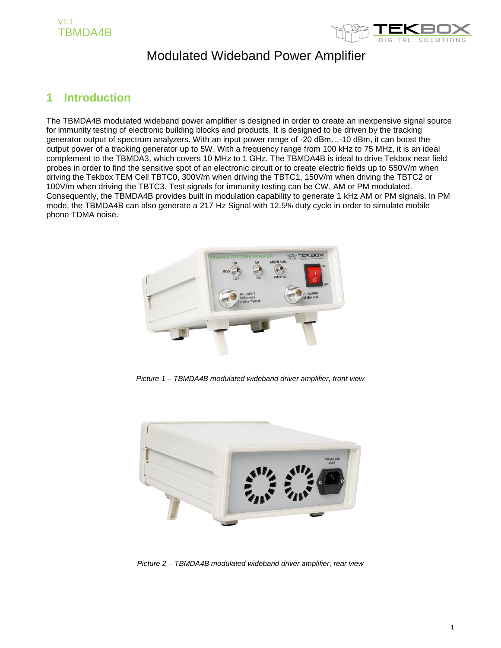



### **1 Introduction**

The TBMDA4B modulated wideband power amplifier is designed in order to create an inexpensive signal source for immunity testing of electronic building blocks and products. It is designed to be driven by the tracking generator output of spectrum analyzers. With an input power range of -20 dBm…-10 dBm, it can boost the output power of a tracking generator up to 5W. With a frequency range from 100 kHz to 75 MHz, it is an ideal complement to the TBMDA3, which covers 10 MHz to 1 GHz. The TBMDA4B is ideal to drive Tekbox near field probes in order to find the sensitive spot of an electronic circuit or to create electric fields up to 550V/m when driving the Tekbox TEM Cell TBTC0, 300V/m when driving the TBTC1, 150V/m when driving the TBTC2 or 100V/m when driving the TBTC3. Test signals for immunity testing can be CW, AM or PM modulated. Consequently, the TBMDA4B provides built in modulation capability to generate 1 kHz AM or PM signals. In PM mode, the TBMDA4B can also generate a 217 Hz Signal with 12.5% duty cycle in order to simulate mobile phone TDMA noise.



*Picture 1 – TBMDA4B modulated wideband driver amplifier, front view*



*Picture 2 – TBMDA4B modulated wideband driver amplifier, rear view*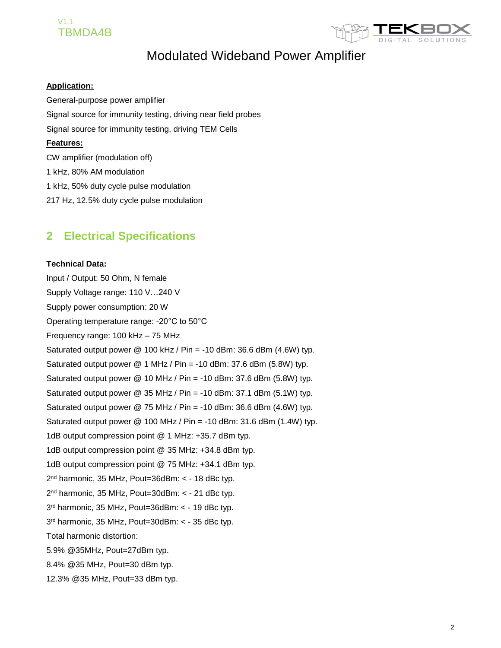### V1.1 TBMDA4B



# Modulated Wideband Power Amplifier

#### **Application:**

General-purpose power amplifier Signal source for immunity testing, driving near field probes Signal source for immunity testing, driving TEM Cells **Features:** CW amplifier (modulation off) 1 kHz, 80% AM modulation 1 kHz, 50% duty cycle pulse modulation 217 Hz, 12.5% duty cycle pulse modulation

### **2 Electrical Specifications**

#### **Technical Data:**

Input / Output: 50 Ohm, N female Supply Voltage range: 110 V…240 V Supply power consumption: 20 W Operating temperature range: -20°C to 50°C Frequency range: 100 kHz – 75 MHz Saturated output power  $@$  100 kHz / Pin = -10 dBm: 36.6 dBm (4.6W) typ. Saturated output power @ 1 MHz / Pin = -10 dBm: 37.6 dBm (5.8W) typ. Saturated output power  $@$  10 MHz / Pin = -10 dBm: 37.6 dBm (5.8W) typ. Saturated output power  $@$  35 MHz / Pin = -10 dBm: 37.1 dBm (5.1W) typ. Saturated output power  $@$  75 MHz / Pin = -10 dBm: 36.6 dBm (4.6W) typ. Saturated output power  $@$  100 MHz / Pin = -10 dBm: 31.6 dBm (1.4W) typ. 1dB output compression point @ 1 MHz: +35.7 dBm typ. 1dB output compression point @ 35 MHz: +34.8 dBm typ. 1dB output compression point @ 75 MHz: +34.1 dBm typ. 2<sup>nd</sup> harmonic, 35 MHz, Pout=36dBm: < - 18 dBc typ. 2<sup>nd</sup> harmonic, 35 MHz, Pout=30dBm: < - 21 dBc typ. 3 rd harmonic, 35 MHz, Pout=36dBm: < - 19 dBc typ. 3 rd harmonic, 35 MHz, Pout=30dBm: < - 35 dBc typ. Total harmonic distortion: 5.9% @35MHz, Pout=27dBm typ. 8.4% @35 MHz, Pout=30 dBm typ. 12.3% @35 MHz, Pout=33 dBm typ.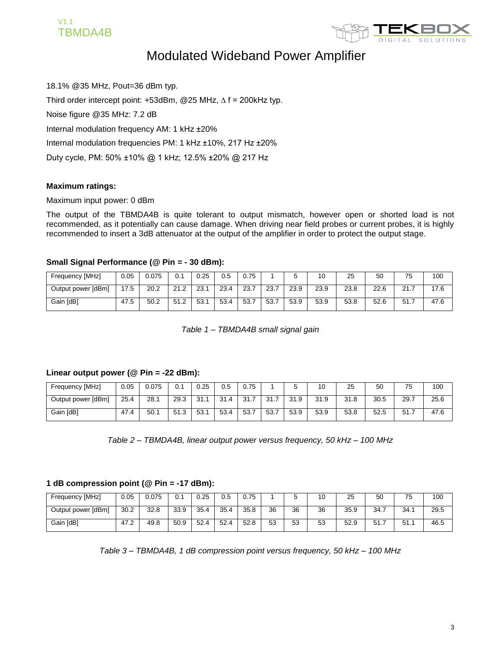



18.1% @35 MHz, Pout=36 dBm typ. Third order intercept point: +53dBm, @25 MHz,  $\Delta$  f = 200kHz typ. Noise figure @35 MHz: 7.2 dB Internal modulation frequency AM: 1 kHz ±20% Internal modulation frequencies PM: 1 kHz ±10%, 217 Hz ±20% Duty cycle, PM: 50% ±10% @ 1 kHz; 12.5% ±20% @ 217 Hz

#### **Maximum ratings:**

#### Maximum input power: 0 dBm

The output of the TBMDA4B is quite tolerant to output mismatch, however open or shorted load is not recommended, as it potentially can cause damage. When driving near field probes or current probes, it is highly recommended to insert a 3dB attenuator at the output of the amplifier in order to protect the output stage.

#### **Small Signal Performance (@ Pin = - 30 dBm):**

| Frequency [MHz]    | 0.05 | 0.075 | 0.1  | 0.25 | 0.5  | 0.75 |      |      |      | 25   | 50   |               | 100  |
|--------------------|------|-------|------|------|------|------|------|------|------|------|------|---------------|------|
| Output power [dBm] | 17.5 | 20.2  | 21.2 | 23.7 | 23.4 | 23.7 | 23.7 | 23.9 | 23.9 | 23.8 | 22.6 | 01<br>2 I . I | 17.6 |
| Gain [dB]          | 47.5 | 50.2  | 51.2 | 53.  | 53.4 | 53.7 | 53.7 | 53.9 | 53.9 | 53.8 | 52.6 | 51<br>، ا ب   | 47.6 |

*Table 1 – TBMDA4B small signal gain*

#### **Linear output power (@ Pin = -22 dBm):**

| Frequency [MHz]    | 0.05 | 0.075 | 0.1  | 0.25 | 0.5                            | 0.75 |      |      | 10   | 25   | 50   | 75   | 100  |
|--------------------|------|-------|------|------|--------------------------------|------|------|------|------|------|------|------|------|
| Output power [dBm] | 25.4 | 28.1  | 29.3 | 31.1 | 31.4<br>$\boldsymbol{\Lambda}$ | 31.7 | 31.7 | 31.9 | 31.9 | 31.8 | 30.5 | 29.7 | 25.6 |
| Gain [dB]          | 47.4 | 50.1  | 51.3 | 53.  | 53.4                           | 53.7 | 53.7 | 53.9 | 53.9 | 53.8 | 52.5 | 51.7 | 47.6 |

*Table 2 – TBMDA4B, linear output power versus frequency, 50 kHz – 100 MHz*

#### **1 dB compression point (@ Pin = -17 dBm):**

| Frequency [MHz]    | 0.05 | 0.075 | 0.1  | 0.25 | 0.5  | 0.75 |    |    | U  | 25   | 50            | 75<br>ັ | 100  |
|--------------------|------|-------|------|------|------|------|----|----|----|------|---------------|---------|------|
| Output power [dBm] | 30.2 | 32.8  | 33.9 | 35.4 | 35.4 | 35.8 | 36 | 36 | 36 | 35.9 | 34.7          | 34.7    | 29.5 |
| Gain [dB]          | 47.2 | 49.8  | 50.9 | 52.4 | 52.4 | 52.8 | 53 | 53 | 53 | 52.9 | 51<br>◡ ៲ . ៸ | 51.7    | 46.5 |

*Table 3 – TBMDA4B, 1 dB compression point versus frequency, 50 kHz – 100 MHz*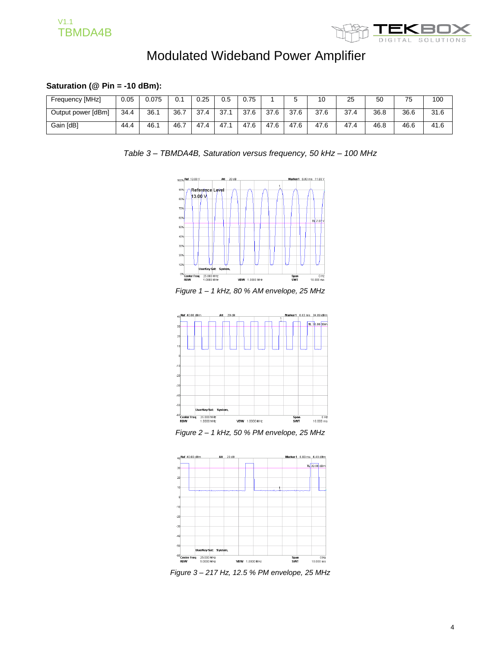



#### **Saturation (@ Pin = -10 dBm):**

| Frequency [MHz]    | 0.05 | 0.075 | 0.1  | 0.25 | 0.5 | 0.75 |      | ັ    | 10   | 25   | 50   | 75   | 100  |
|--------------------|------|-------|------|------|-----|------|------|------|------|------|------|------|------|
| Output power [dBm] | 34.4 | 36.1  | 36.7 | 37.4 | 37. | 37.6 | 37.6 | 37.6 | 37.6 | 37.4 | 36.8 | 36.6 | 31.6 |
| Gain [dB]          | 44.4 | 46.1  | 46.  | 47.4 | 47. | 47.6 | 47.6 | 47.6 | 47.6 | 47.4 | 46.8 | 46.6 | 41.6 |

*Table 3 – TBMDA4B, Saturation versus frequency, 50 kHz – 100 MHz*



*Figure 1 – 1 kHz, 80 % AM envelope, 25 MHz*



*Figure 2 – 1 kHz, 50 % PM envelope, 25 MHz*



*Figure 3 – 217 Hz, 12.5 % PM envelope, 25 MHz*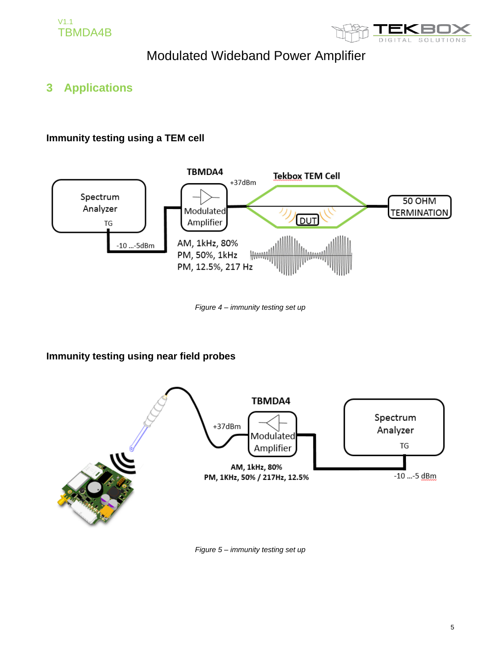



### **3 Applications**

### **Immunity testing using a TEM cell**



*Figure 4 – immunity testing set up*

### **Immunity testing using near field probes**



*Figure 5 – immunity testing set up*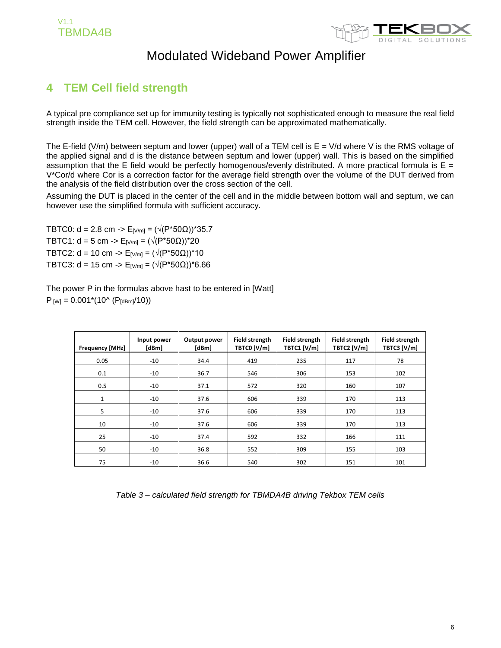

## **4 TEM Cell field strength**

A typical pre compliance set up for immunity testing is typically not sophisticated enough to measure the real field strength inside the TEM cell. However, the field strength can be approximated mathematically.

The E-field (V/m) between septum and lower (upper) wall of a TEM cell is  $E = V/d$  where V is the RMS voltage of the applied signal and d is the distance between septum and lower (upper) wall. This is based on the simplified assumption that the E field would be perfectly homogenous/evenly distributed. A more practical formula is  $E =$ V\*Cor/d where Cor is a correction factor for the average field strength over the volume of the DUT derived from the analysis of the field distribution over the cross section of the cell.

Assuming the DUT is placed in the center of the cell and in the middle between bottom wall and septum, we can however use the simplified formula with sufficient accuracy.

TBTC0: d = 2.8 cm ->  $E_{[V/m]} = (\sqrt{(P^*50\Omega)})^*35.7$ TBTC1: d = 5 cm -> E<sub>[V/m]</sub> =  $(\sqrt{(P^*50\Omega)})^*20$ TBTC2: d = 10 cm -> E<sub>[V/m]</sub> =  $(\sqrt{(P^*50\Omega)})^*10$ TBTC3: d = 15 cm -> E<sub>[V/m]</sub> = ( $\sqrt{(P*50\Omega)}$ )\*6.66

The power P in the formulas above hast to be entered in [Watt]  $P_{[W]} = 0.001*(10^{6} (P_{[dBm]}/10))$ 

| <b>Frequency [MHz]</b> | Input power<br>[dBm] | Output power<br>[dBm] | <b>Field strength</b><br>TBTC0 [V/m] | <b>Field strength</b><br>TBTC1 [V/m] | <b>Field strength</b><br>TBTC2 [V/m] | <b>Field strength</b><br>TBTC3 [V/m] |
|------------------------|----------------------|-----------------------|--------------------------------------|--------------------------------------|--------------------------------------|--------------------------------------|
| 0.05                   | $-10$                | 34.4                  | 419                                  | 235                                  | 117                                  | 78                                   |
| 0.1                    | $-10$                | 36.7                  | 546                                  | 306                                  | 153                                  | 102                                  |
| 0.5                    | $-10$                | 37.1                  | 572                                  | 320                                  | 160                                  | 107                                  |
| $\mathbf{1}$           | $-10$                | 37.6                  | 606                                  | 339                                  | 170                                  | 113                                  |
| 5                      | $-10$                | 37.6                  | 606                                  | 339                                  | 170                                  | 113                                  |
| 10                     | $-10$                | 37.6                  | 606                                  | 339                                  | 170                                  | 113                                  |
| 25                     | $-10$                | 37.4                  | 592                                  | 332                                  | 166                                  | 111                                  |
| 50                     | $-10$                | 36.8                  | 552                                  | 309                                  | 155                                  | 103                                  |
| 75                     | $-10$                | 36.6                  | 540                                  | 302                                  | 151                                  | 101                                  |

*Table 3 – calculated field strength for TBMDA4B driving Tekbox TEM cells*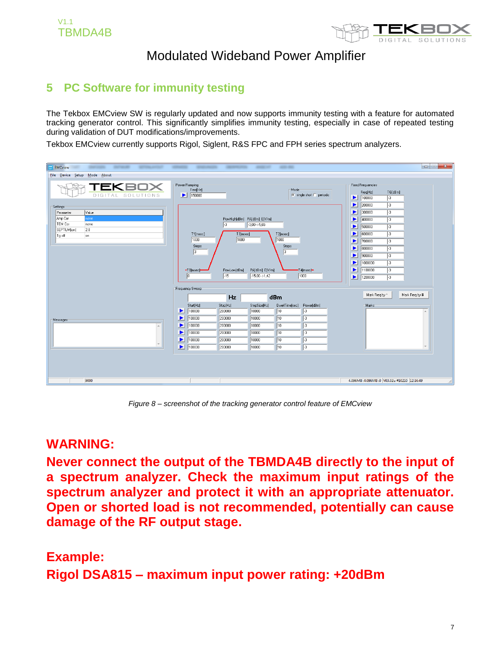

## **5 PC Software for immunity testing**

The Tekbox EMCview SW is regularly updated and now supports immunity testing with a feature for automated tracking generator control. This significantly simplifies immunity testing, especially in case of repeated testing during validation of DUT modifications/improvements.

Tekbox EMCview currently supports Rigol, Siglent, R&S FPC and FPH series spectrum analyzers.

| <b>EMCview</b><br><b>SERVICE CONTROL</b><br>---<br><b>SETTING APPROVE</b>                                         | ----                                                                                                                                                         | -----                                                                                                                                                          | --<br>-                                                                                                                                                                                   |                                                                                                                                                                                                                                                                                                                                                                                                                                                                                                                  |
|-------------------------------------------------------------------------------------------------------------------|--------------------------------------------------------------------------------------------------------------------------------------------------------------|----------------------------------------------------------------------------------------------------------------------------------------------------------------|-------------------------------------------------------------------------------------------------------------------------------------------------------------------------------------------|------------------------------------------------------------------------------------------------------------------------------------------------------------------------------------------------------------------------------------------------------------------------------------------------------------------------------------------------------------------------------------------------------------------------------------------------------------------------------------------------------------------|
| File Device Setup Mode About                                                                                      |                                                                                                                                                              |                                                                                                                                                                |                                                                                                                                                                                           |                                                                                                                                                                                                                                                                                                                                                                                                                                                                                                                  |
| TEKBOX<br>DIGITAL SOLUTIONS                                                                                       | Power Ramping<br>Freq[Hz]<br>$\blacktriangleright$ 150000                                                                                                    |                                                                                                                                                                | Mode<br>$\bullet$ single shot $\bullet$ periodic                                                                                                                                          | <b>Fixed Frequencies</b><br>Freq[Hz]<br>TG[dBm]<br>$\blacktriangleright$ 100000<br>$\sqrt{3}$                                                                                                                                                                                                                                                                                                                                                                                                                    |
| <b>Settings</b><br>Value<br>Parameter<br>Amp Cor<br>none<br>TEM Cor<br>none<br>SEPTUM[cm]<br>2.8<br>Tg off<br>lon | T1[msec]<br>1000<br>Steps<br>$\sqrt{3}$<br>$-10$ [msec] $-$<br>$ 0\rangle$                                                                                   | PowHigh[dBm] PA[dBm] E[V/m]<br>$3,00 \rightarrow 5,65$<br>l-3<br>T3[msec]<br>1000<br>PowLow[dBm]<br>PA[dBm] E[V/m]<br>$\sqrt{15}$<br>$-15,00 \rightarrow 1,42$ | T2[msec]<br>1000<br>Steps<br>13<br>T4[msec]-<br>1000                                                                                                                                      | $\blacktriangleright$<br>200000<br>$\sqrt{3}$<br>$\blacktriangleright$<br>300000<br>$\sqrt{3}$<br>$\overline{13}$<br>P.<br>400000<br>500000<br>$\sqrt{3}$<br>$\blacktriangleright$<br>$\blacktriangleright$<br>600000<br>$\sqrt{3}$<br>$\blacktriangleright$ 700000<br>$\sqrt{3}$<br>$\blacktriangleright$ 800000<br>$\sqrt{3}$<br>900000<br>$\sqrt{3}$<br>P.<br>$\sqrt{3}$<br>$\blacktriangleright$<br>1000000<br>$\blacktriangleright$<br>1100000<br>$\sqrt{3}$<br>$\blacktriangleright$ 1200000<br>$\sqrt{3}$ |
|                                                                                                                   | Frequency Sweep                                                                                                                                              | Hz                                                                                                                                                             | dBm                                                                                                                                                                                       | Mark Freq by *<br>Mark Freq by #                                                                                                                                                                                                                                                                                                                                                                                                                                                                                 |
| Messages<br>A<br>$\overline{\phantom{a}}$                                                                         | Start[Hz]<br>$\blacktriangleright$<br>100000<br>$\blacktriangleright$<br>100000<br>▶<br>100000<br>▶<br>100000<br>▶<br>100000<br>$\blacktriangleright$ 100000 | Stop[Hz]<br>StepSize[Hz]<br>200000<br>10000<br>200000<br>10000<br>200000<br>10000<br>200000<br>10000<br>200000<br>10000<br>200000<br>10000                     | DwellTime[sec]<br>Power[dBm]<br>$\sqrt{10}$<br>$\sqrt{3}$<br>$\sqrt{10}$<br>$\sqrt{3}$<br>$\sqrt{10}$<br>Eз<br>10<br>$\sqrt{3}$<br>$\sqrt{10}$<br>$\sqrt{3}$<br>$\sqrt{10}$<br>$\sqrt{3}$ | Marks                                                                                                                                                                                                                                                                                                                                                                                                                                                                                                            |
| 9000                                                                                                              |                                                                                                                                                              |                                                                                                                                                                |                                                                                                                                                                                           | 4.096MB:4.096MB:0 V03.02u #10210 12:16:49                                                                                                                                                                                                                                                                                                                                                                                                                                                                        |

*Figure 8 – screenshot of the tracking generator control feature of EMCview*

## **WARNING:**

**Never connect the output of the TBMDA4B directly to the input of a spectrum analyzer. Check the maximum input ratings of the spectrum analyzer and protect it with an appropriate attenuator. Open or shorted load is not recommended, potentially can cause damage of the RF output stage.**

# **Example: Rigol DSA815 – maximum input power rating: +20dBm**